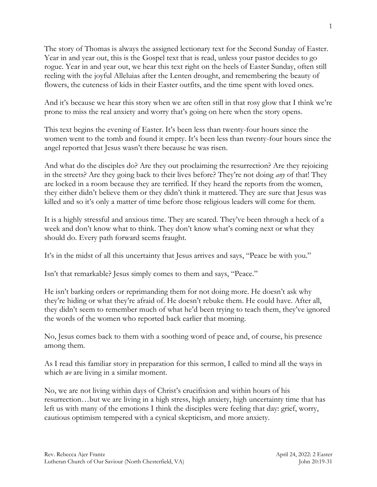The story of Thomas is always the assigned lectionary text for the Second Sunday of Easter. Year in and year out, this is the Gospel text that is read, unless your pastor decides to go rogue. Year in and year out, we hear this text right on the heels of Easter Sunday, often still reeling with the joyful Alleluias after the Lenten drought, and remembering the beauty of flowers, the cuteness of kids in their Easter outfits, and the time spent with loved ones.

And it's because we hear this story when we are often still in that rosy glow that I think we're prone to miss the real anxiety and worry that's going on here when the story opens.

This text begins the evening of Easter. It's been less than twenty-four hours since the women went to the tomb and found it empty. It's been less than twenty-four hours since the angel reported that Jesus wasn't there because he was risen.

And what do the disciples do? Are they out proclaiming the resurrection? Are they rejoicing in the streets? Are they going back to their lives before? They're not doing *any* of that! They are locked in a room because they are terrified. If they heard the reports from the women, they either didn't believe them or they didn't think it mattered. They are sure that Jesus was killed and so it's only a matter of time before those religious leaders will come for them.

It is a highly stressful and anxious time. They are scared. They've been through a heck of a week and don't know what to think. They don't know what's coming next or what they should do. Every path forward seems fraught.

It's in the midst of all this uncertainty that Jesus arrives and says, "Peace be with you."

Isn't that remarkable? Jesus simply comes to them and says, "Peace."

He isn't barking orders or reprimanding them for not doing more. He doesn't ask why they're hiding or what they're afraid of. He doesn't rebuke them. He could have. After all, they didn't seem to remember much of what he'd been trying to teach them, they've ignored the words of the women who reported back earlier that morning.

No, Jesus comes back to them with a soothing word of peace and, of course, his presence among them.

As I read this familiar story in preparation for this sermon, I called to mind all the ways in which *we* are living in a similar moment.

No, we are not living within days of Christ's crucifixion and within hours of his resurrection…but we are living in a high stress, high anxiety, high uncertainty time that has left us with many of the emotions I think the disciples were feeling that day: grief, worry, cautious optimism tempered with a cynical skepticism, and more anxiety.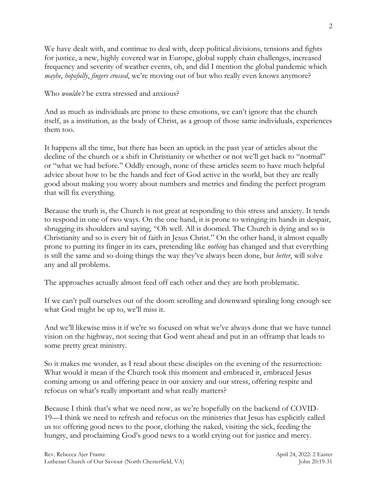We have dealt with, and continue to deal with, deep political divisions, tensions and fights for justice, a new, highly covered war in Europe, global supply chain challenges, increased frequency and severity of weather events, oh, and did I mention the global pandemic which *maybe*, *hopefully*, *fingers crossed*, we're moving out of but who really even knows anymore?

Who *wouldn't* be extra stressed and anxious?

And as much as individuals are prone to these emotions, we can't ignore that the church itself, as a institution, as the body of Christ, as a group of those same individuals, experiences them too.

It happens all the time, but there has been an uptick in the past year of articles about the decline of the church or a shift in Christianity or whether or not we'll get back to "normal" or "what we had before." Oddly enough, none of these articles seem to have much helpful advice about how to be the hands and feet of God active in the world, but they are really good about making you worry about numbers and metrics and finding the perfect program that will fix everything.

Because the truth is, the Church is not great at responding to this stress and anxiety. It tends to respond in one of two ways. On the one hand, it is prone to wringing its hands in despair, shrugging its shoulders and saying, "Oh well. All is doomed. The Church is dying and so is Christianity and so is every bit of faith in Jesus Christ." On the other hand, it almost equally prone to putting its finger in its ears, pretending like *nothing* has changed and that everything is still the same and so doing things the way they've always been done, but *better*, will solve any and all problems.

The approaches actually almost feed off each other and they are both problematic.

If we can't pull ourselves out of the doom scrolling and downward spiraling long enough see what God might be up to, we'll miss it.

And we'll likewise miss it if we're so focused on what we've always done that we have tunnel vision on the highway, not seeing that God went ahead and put in an offramp that leads to some pretty great ministry.

So it makes me wonder, as I read about these disciples on the evening of the resurrection: What would it mean if the Church took this moment and embraced it, embraced Jesus coming among us and offering peace in our anxiety and our stress, offering respite and refocus on what's really important and what really matters?

Because I think that's what we need now, as we're hopefully on the backend of COVID-19—I think we need to refresh and refocus on the ministries that Jesus has explicitly called us to: offering good news to the poor, clothing the naked, visiting the sick, feeding the hungry, and proclaiming God's good news to a world crying out for justice and mercy.